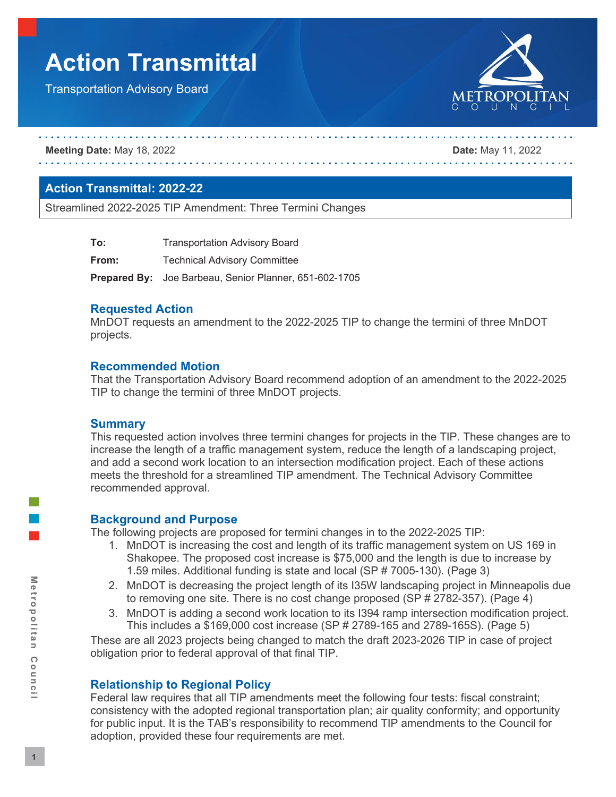# **Action Transmittal**

Transportation Advisory Board



**Meeting Date:** May 18, 2022 **Date:** May 11, 2022

# **Action Transmittal: 2022-22**

Streamlined 2022-2025 TIP Amendment: Three Termini Changes

| To:   | <b>Transportation Advisory Board</b>                          |  |  |  |
|-------|---------------------------------------------------------------|--|--|--|
| From: | <b>Technical Advisory Committee</b>                           |  |  |  |
|       | <b>Prepared By:</b> Joe Barbeau, Senior Planner, 651-602-1705 |  |  |  |

# **Requested Action**

MnDOT requests an amendment to the 2022-2025 TIP to change the termini of three MnDOT projects.

# **Recommended Motion**

That the Transportation Advisory Board recommend adoption of an amendment to the 2022-2025 TIP to change the termini of three MnDOT projects.

#### **Summary**

This requested action involves three termini changes for projects in the TIP. These changes are to increase the length of a traffic management system, reduce the length of a landscaping project, and add a second work location to an intersection modification project. Each of these actions meets the threshold for a streamlined TIP amendment. The Technical Advisory Committee recommended approval.

#### **Background and Purpose**

The following projects are proposed for termini changes in to the 2022-2025 TIP:

- 1. MnDOT is increasing the cost and length of its traffic management system on US 169 in Shakopee. The proposed cost increase is \$75,000 and the length is due to increase by 1.59 miles. Additional funding is state and local (SP # 7005-130). (Page 3)
- 2. MnDOT is decreasing the project length of its I35W landscaping project in Minneapolis due to removing one site. There is no cost change proposed (SP # 2782-357). (Page 4)
- 3. MnDOT is adding a second work location to its I394 ramp intersection modification project. This includes a \$169,000 cost increase (SP # 2789-165 and 2789-165S). (Page 5)

These are all 2023 projects being changed to match the draft 2023-2026 TIP in case of project obligation prior to federal approval of that final TIP.

# **Relationship to Regional Policy**

Federal law requires that all TIP amendments meet the following four tests: fiscal constraint; consistency with the adopted regional transportation plan; air quality conformity; and opportunity for public input. It is the TAB's responsibility to recommend TIP amendments to the Council for adoption, provided these four requirements are met.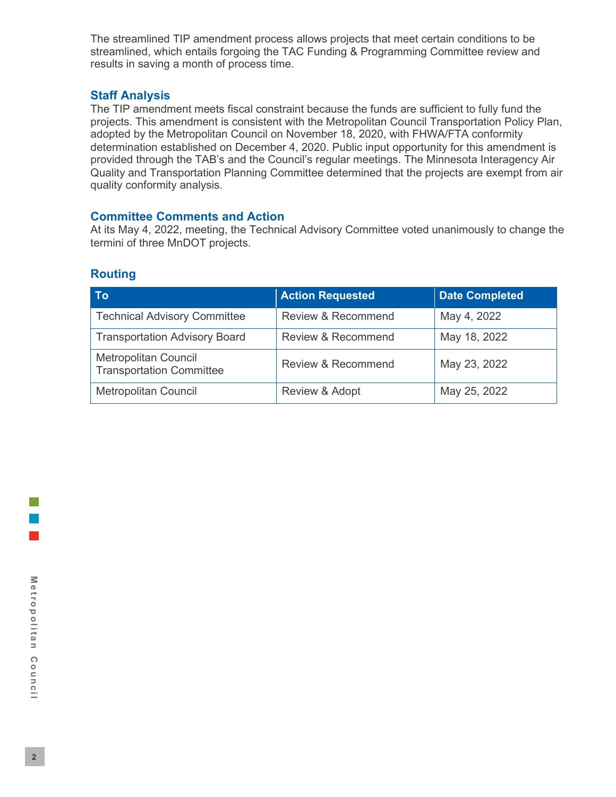The streamlined TIP amendment process allows projects that meet certain conditions to be streamlined, which entails forgoing the TAC Funding & Programming Committee review and results in saving a month of process time.

# **Staff Analysis**

The TIP amendment meets fiscal constraint because the funds are sufficient to fully fund the projects. This amendment is consistent with the Metropolitan Council Transportation Policy Plan, adopted by the Metropolitan Council on November 18, 2020, with FHWA/FTA conformity determination established on December 4, 2020. Public input opportunity for this amendment is provided through the TAB's and the Council's regular meetings. The Minnesota Interagency Air Quality and Transportation Planning Committee determined that the projects are exempt from air quality conformity analysis.

# **Committee Comments and Action**

At its May 4, 2022, meeting, the Technical Advisory Committee voted unanimously to change the termini of three MnDOT projects.

# **Routing**

| Tol                                                            | <b>Action Requested</b>       | <b>Date Completed</b> |
|----------------------------------------------------------------|-------------------------------|-----------------------|
| <b>Technical Advisory Committee</b>                            | Review & Recommend            | May 4, 2022           |
| <b>Transportation Advisory Board</b>                           | <b>Review &amp; Recommend</b> | May 18, 2022          |
| <b>Metropolitan Council</b><br><b>Transportation Committee</b> | Review & Recommend            | May 23, 2022          |
| <b>Metropolitan Council</b>                                    | Review & Adopt                | May 25, 2022          |

l a l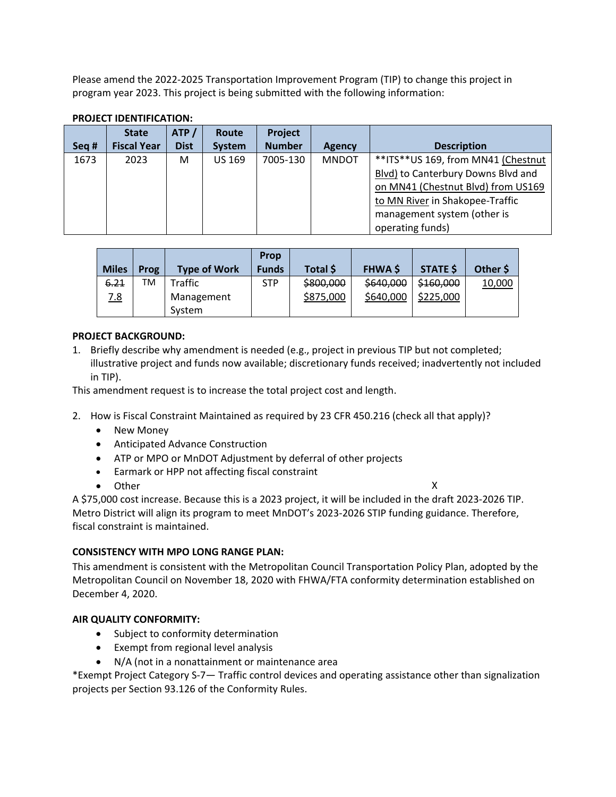Please amend the 2022-2025 Transportation Improvement Program (TIP) to change this project in program year 2023. This project is being submitted with the following information:

| Seq # | <b>State</b><br><b>Fiscal Year</b> | ATP/<br><b>Dist</b> | Route<br><b>System</b> | <b>Project</b><br><b>Number</b> | <b>Agency</b> | <b>Description</b>                                                                                                                                                                                   |
|-------|------------------------------------|---------------------|------------------------|---------------------------------|---------------|------------------------------------------------------------------------------------------------------------------------------------------------------------------------------------------------------|
| 1673  | 2023                               | M                   | <b>US 169</b>          | 7005-130                        | <b>MNDOT</b>  | **ITS**US 169, from MN41 (Chestnut<br>Blvd) to Canterbury Downs Blvd and<br>on MN41 (Chestnut Blvd) from US169<br>to MN River in Shakopee-Traffic<br>management system (other is<br>operating funds) |

### **PROJECT IDENTIFICATION:**

| <b>Miles</b> | <b>Prog</b> | <b>Type of Work</b>  | <b>Prop</b><br><b>Funds</b> | Total \$  | <b>FHWA S</b> | <b>STATE \$</b> | Other \$ |
|--------------|-------------|----------------------|-----------------------------|-----------|---------------|-----------------|----------|
| 6.21         | TM          | Traffic              | <b>STP</b>                  | \$800,000 | \$640,000     | \$160,000       | 10,000   |
| <u>7.8</u>   |             | Management<br>System |                             | \$875,000 | \$640,000     | \$225,000       |          |

# **PROJECT BACKGROUND:**

1. Briefly describe why amendment is needed (e.g., project in previous TIP but not completed; illustrative project and funds now available; discretionary funds received; inadvertently not included in TIP).

This amendment request is to increase the total project cost and length.

- 2. How is Fiscal Constraint Maintained as required by 23 CFR 450.216 (check all that apply)?
	- New Money
	- Anticipated Advance Construction
	- ATP or MPO or MnDOT Adjustment by deferral of other projects
	- Earmark or HPP not affecting fiscal constraint
	- Other X

A \$75,000 cost increase. Because this is a 2023 project, it will be included in the draft 2023-2026 TIP. Metro District will align its program to meet MnDOT's 2023-2026 STIP funding guidance. Therefore, fiscal constraint is maintained.

#### **CONSISTENCY WITH MPO LONG RANGE PLAN:**

This amendment is consistent with the Metropolitan Council Transportation Policy Plan, adopted by the Metropolitan Council on November 18, 2020 with FHWA/FTA conformity determination established on December 4, 2020.

#### **AIR QUALITY CONFORMITY:**

- Subject to conformity determination
- Exempt from regional level analysis
- N/A (not in a nonattainment or maintenance area

\*Exempt Project Category S-7— Traffic control devices and operating assistance other than signalization projects per Section 93.126 of the Conformity Rules.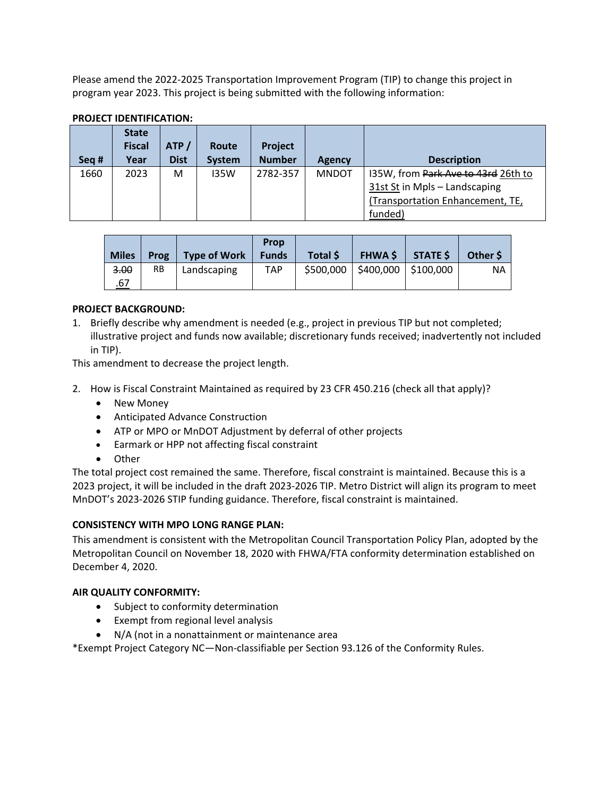Please amend the 2022-2025 Transportation Improvement Program (TIP) to change this project in program year 2023. This project is being submitted with the following information:

| Seg # | <b>State</b><br><b>Fiscal</b><br>Year | ATP/<br><b>Dist</b> | Route<br><b>System</b> | <b>Project</b><br><b>Number</b> | <b>Agency</b> | <b>Description</b>                  |
|-------|---------------------------------------|---------------------|------------------------|---------------------------------|---------------|-------------------------------------|
| 1660  | 2023                                  | M                   | 135W                   | 2782-357                        | <b>MNDOT</b>  | I35W, from Park Ave to 43rd 26th to |
|       |                                       |                     |                        |                                 |               | 31st St in Mpls - Landscaping       |
|       |                                       |                     |                        |                                 |               | (Transportation Enhancement, TE,    |
|       |                                       |                     |                        |                                 |               | funded)                             |

# **PROJECT IDENTIFICATION:**

| <b>Miles</b> | <b>Prog</b> | Type of Work | Prop<br><b>Funds</b> | Total \$ | <b>FHWA \$</b>                     | $S$ TATE \$ | Other S |
|--------------|-------------|--------------|----------------------|----------|------------------------------------|-------------|---------|
| 3.00         | <b>RB</b>   | Landscaping  | TAP.                 |          | $$500,000$   \$400,000   \$100,000 |             | ΝA      |
| .67          |             |              |                      |          |                                    |             |         |

# **PROJECT BACKGROUND:**

1. Briefly describe why amendment is needed (e.g., project in previous TIP but not completed; illustrative project and funds now available; discretionary funds received; inadvertently not included in TIP).

This amendment to decrease the project length.

- 2. How is Fiscal Constraint Maintained as required by 23 CFR 450.216 (check all that apply)?
	- New Money
	- Anticipated Advance Construction
	- ATP or MPO or MnDOT Adjustment by deferral of other projects
	- Earmark or HPP not affecting fiscal constraint
	- Other

The total project cost remained the same. Therefore, fiscal constraint is maintained. Because this is a 2023 project, it will be included in the draft 2023-2026 TIP. Metro District will align its program to meet MnDOT's 2023-2026 STIP funding guidance. Therefore, fiscal constraint is maintained.

#### **CONSISTENCY WITH MPO LONG RANGE PLAN:**

This amendment is consistent with the Metropolitan Council Transportation Policy Plan, adopted by the Metropolitan Council on November 18, 2020 with FHWA/FTA conformity determination established on December 4, 2020.

#### **AIR QUALITY CONFORMITY:**

- Subject to conformity determination
- Exempt from regional level analysis
- N/A (not in a nonattainment or maintenance area

\*Exempt Project Category NC—Non-classifiable per Section 93.126 of the Conformity Rules.